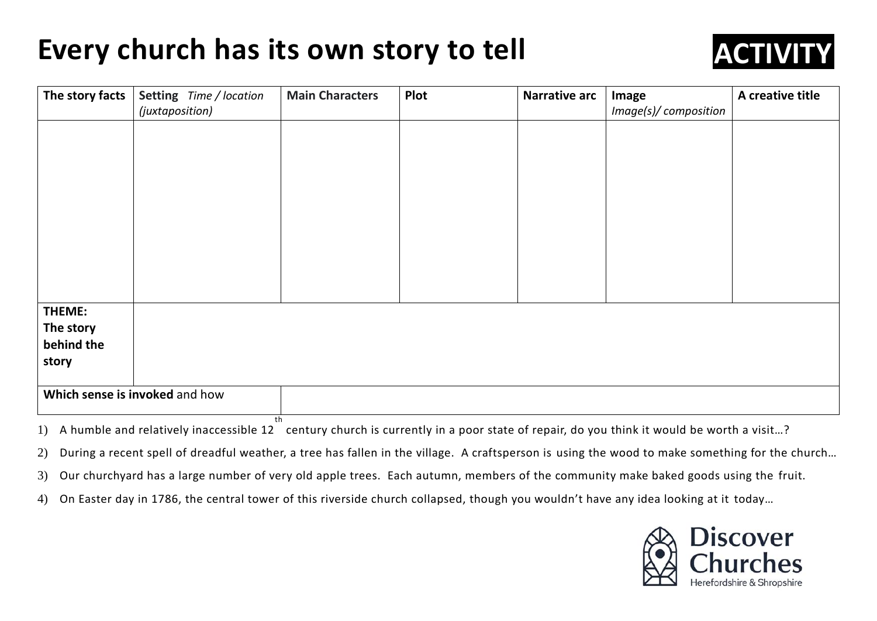## **Every church has its own story to tell**



| The story facts                | Setting Time / location | <b>Main Characters</b> | Plot | <b>Narrative arc</b> | Image                 | A creative title |
|--------------------------------|-------------------------|------------------------|------|----------------------|-----------------------|------------------|
|                                | (juxtaposition)         |                        |      |                      | Image(s)/ composition |                  |
|                                |                         |                        |      |                      |                       |                  |
|                                |                         |                        |      |                      |                       |                  |
|                                |                         |                        |      |                      |                       |                  |
|                                |                         |                        |      |                      |                       |                  |
|                                |                         |                        |      |                      |                       |                  |
|                                |                         |                        |      |                      |                       |                  |
|                                |                         |                        |      |                      |                       |                  |
|                                |                         |                        |      |                      |                       |                  |
|                                |                         |                        |      |                      |                       |                  |
|                                |                         |                        |      |                      |                       |                  |
|                                |                         |                        |      |                      |                       |                  |
| THEME:                         |                         |                        |      |                      |                       |                  |
| The story                      |                         |                        |      |                      |                       |                  |
| behind the                     |                         |                        |      |                      |                       |                  |
| story                          |                         |                        |      |                      |                       |                  |
|                                |                         |                        |      |                      |                       |                  |
| Which sense is invoked and how |                         |                        |      |                      |                       |                  |

1) A humble and relatively inaccessible  $12^{th}$ century church is currently in a poor state of repair, do you think it would be worth a visit…?

2) During a recent spell of dreadful weather, a tree has fallen in the village. A craftsperson is using the wood to make something for the church…

3) Our churchyard has a large number of very old apple trees. Each autumn, members of the community make baked goods using the fruit.

4) On Easter day in 1786, the central tower of this riverside church collapsed, though you wouldn't have any idea looking at it today…

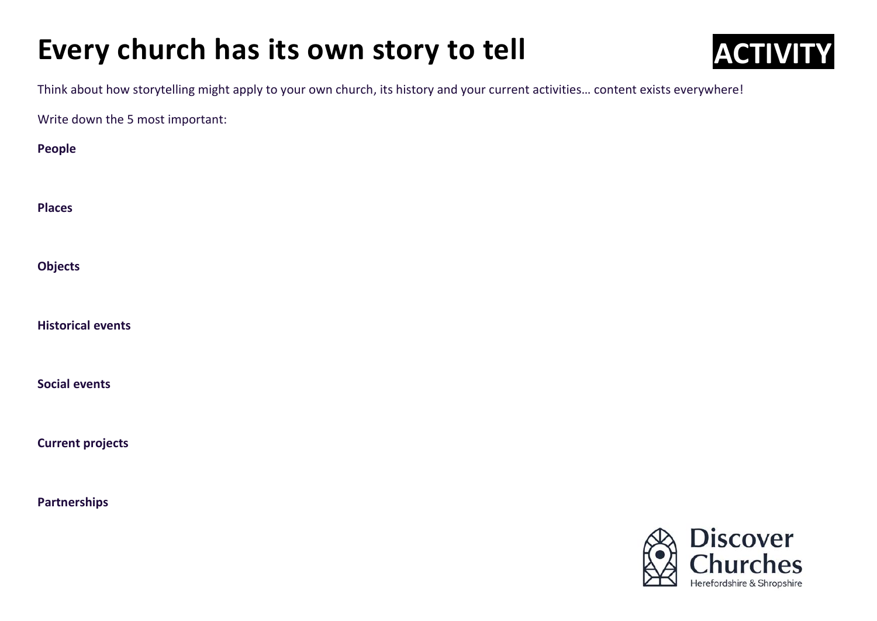## **Every church has its own story to tell**



Think about how storytelling might apply to your own church, its history and your current activities… content exists everywhere!

Write down the 5 most important:

| People                   |
|--------------------------|
| <b>Places</b>            |
| Objects                  |
| <b>Historical events</b> |
| <b>Social events</b>     |
| <b>Current projects</b>  |
| <b>Partnerships</b>      |